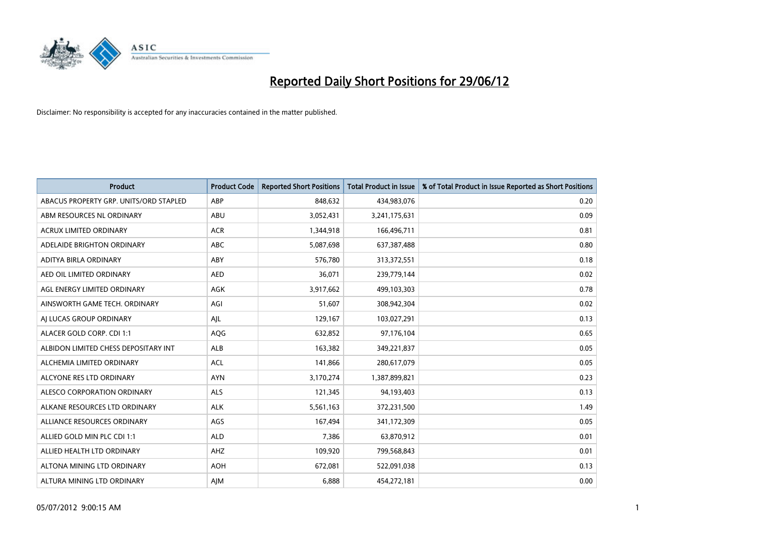

| <b>Product</b>                         | <b>Product Code</b> | <b>Reported Short Positions</b> | <b>Total Product in Issue</b> | % of Total Product in Issue Reported as Short Positions |
|----------------------------------------|---------------------|---------------------------------|-------------------------------|---------------------------------------------------------|
| ABACUS PROPERTY GRP. UNITS/ORD STAPLED | ABP                 | 848,632                         | 434,983,076                   | 0.20                                                    |
| ABM RESOURCES NL ORDINARY              | ABU                 | 3,052,431                       | 3,241,175,631                 | 0.09                                                    |
| ACRUX LIMITED ORDINARY                 | <b>ACR</b>          | 1,344,918                       | 166,496,711                   | 0.81                                                    |
| ADELAIDE BRIGHTON ORDINARY             | <b>ABC</b>          | 5,087,698                       | 637, 387, 488                 | 0.80                                                    |
| ADITYA BIRLA ORDINARY                  | ABY                 | 576,780                         | 313,372,551                   | 0.18                                                    |
| AED OIL LIMITED ORDINARY               | <b>AED</b>          | 36,071                          | 239,779,144                   | 0.02                                                    |
| AGL ENERGY LIMITED ORDINARY            | AGK                 | 3,917,662                       | 499,103,303                   | 0.78                                                    |
| AINSWORTH GAME TECH. ORDINARY          | AGI                 | 51,607                          | 308,942,304                   | 0.02                                                    |
| AI LUCAS GROUP ORDINARY                | AJL                 | 129,167                         | 103,027,291                   | 0.13                                                    |
| ALACER GOLD CORP. CDI 1:1              | AQG                 | 632,852                         | 97,176,104                    | 0.65                                                    |
| ALBIDON LIMITED CHESS DEPOSITARY INT   | ALB                 | 163,382                         | 349,221,837                   | 0.05                                                    |
| ALCHEMIA LIMITED ORDINARY              | <b>ACL</b>          | 141,866                         | 280,617,079                   | 0.05                                                    |
| ALCYONE RES LTD ORDINARY               | <b>AYN</b>          | 3,170,274                       | 1,387,899,821                 | 0.23                                                    |
| ALESCO CORPORATION ORDINARY            | <b>ALS</b>          | 121,345                         | 94,193,403                    | 0.13                                                    |
| ALKANE RESOURCES LTD ORDINARY          | <b>ALK</b>          | 5,561,163                       | 372,231,500                   | 1.49                                                    |
| ALLIANCE RESOURCES ORDINARY            | AGS                 | 167,494                         | 341,172,309                   | 0.05                                                    |
| ALLIED GOLD MIN PLC CDI 1:1            | <b>ALD</b>          | 7,386                           | 63,870,912                    | 0.01                                                    |
| ALLIED HEALTH LTD ORDINARY             | AHZ                 | 109,920                         | 799,568,843                   | 0.01                                                    |
| ALTONA MINING LTD ORDINARY             | <b>AOH</b>          | 672,081                         | 522,091,038                   | 0.13                                                    |
| ALTURA MINING LTD ORDINARY             | AJM                 | 6,888                           | 454,272,181                   | 0.00                                                    |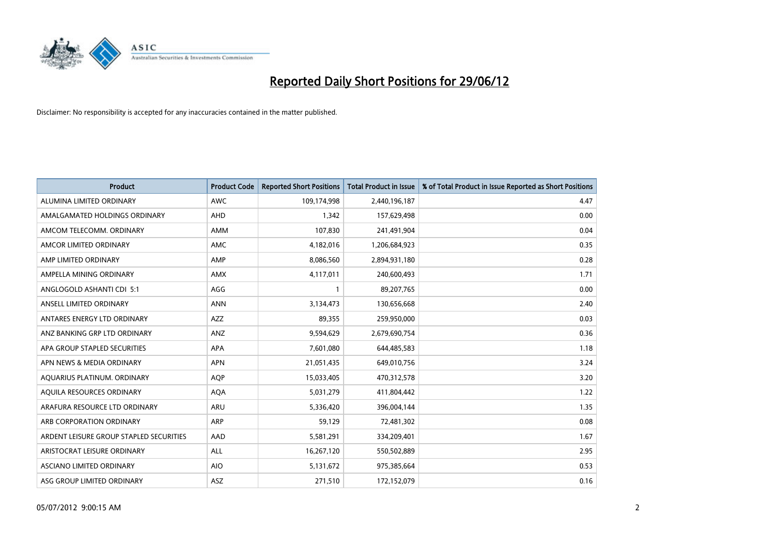

| <b>Product</b>                          | <b>Product Code</b> | <b>Reported Short Positions</b> | <b>Total Product in Issue</b> | % of Total Product in Issue Reported as Short Positions |
|-----------------------------------------|---------------------|---------------------------------|-------------------------------|---------------------------------------------------------|
| ALUMINA LIMITED ORDINARY                | <b>AWC</b>          | 109,174,998                     | 2,440,196,187                 | 4.47                                                    |
| AMALGAMATED HOLDINGS ORDINARY           | AHD                 | 1,342                           | 157,629,498                   | 0.00                                                    |
| AMCOM TELECOMM. ORDINARY                | <b>AMM</b>          | 107,830                         | 241,491,904                   | 0.04                                                    |
| AMCOR LIMITED ORDINARY                  | AMC                 | 4,182,016                       | 1,206,684,923                 | 0.35                                                    |
| AMP LIMITED ORDINARY                    | AMP                 | 8,086,560                       | 2,894,931,180                 | 0.28                                                    |
| AMPELLA MINING ORDINARY                 | AMX                 | 4,117,011                       | 240,600,493                   | 1.71                                                    |
| ANGLOGOLD ASHANTI CDI 5:1               | AGG                 | 1                               | 89,207,765                    | 0.00                                                    |
| ANSELL LIMITED ORDINARY                 | <b>ANN</b>          | 3,134,473                       | 130,656,668                   | 2.40                                                    |
| ANTARES ENERGY LTD ORDINARY             | <b>AZZ</b>          | 89,355                          | 259,950,000                   | 0.03                                                    |
| ANZ BANKING GRP LTD ORDINARY            | ANZ                 | 9,594,629                       | 2,679,690,754                 | 0.36                                                    |
| APA GROUP STAPLED SECURITIES            | APA                 | 7,601,080                       | 644,485,583                   | 1.18                                                    |
| APN NEWS & MEDIA ORDINARY               | <b>APN</b>          | 21,051,435                      | 649,010,756                   | 3.24                                                    |
| AQUARIUS PLATINUM. ORDINARY             | <b>AOP</b>          | 15,033,405                      | 470,312,578                   | 3.20                                                    |
| AQUILA RESOURCES ORDINARY               | <b>AQA</b>          | 5,031,279                       | 411,804,442                   | 1.22                                                    |
| ARAFURA RESOURCE LTD ORDINARY           | ARU                 | 5,336,420                       | 396,004,144                   | 1.35                                                    |
| ARB CORPORATION ORDINARY                | ARP                 | 59,129                          | 72,481,302                    | 0.08                                                    |
| ARDENT LEISURE GROUP STAPLED SECURITIES | AAD                 | 5,581,291                       | 334,209,401                   | 1.67                                                    |
| ARISTOCRAT LEISURE ORDINARY             | ALL                 | 16,267,120                      | 550,502,889                   | 2.95                                                    |
| ASCIANO LIMITED ORDINARY                | <b>AIO</b>          | 5,131,672                       | 975,385,664                   | 0.53                                                    |
| ASG GROUP LIMITED ORDINARY              | ASZ                 | 271,510                         | 172,152,079                   | 0.16                                                    |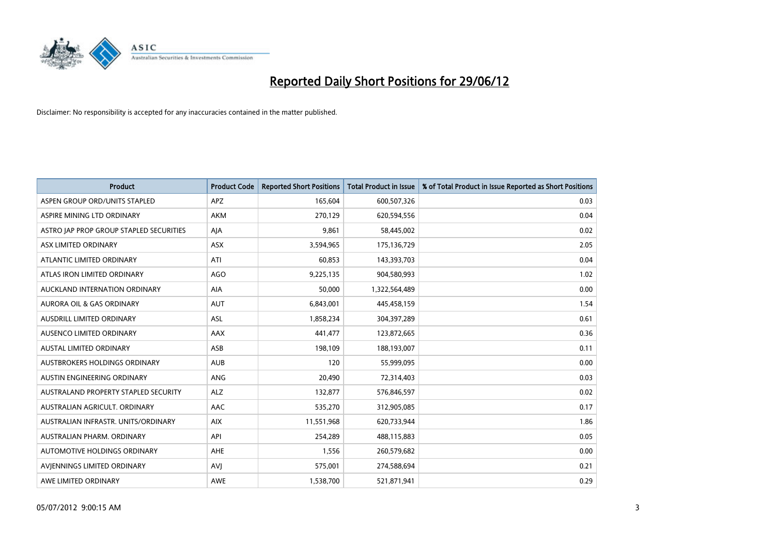

| <b>Product</b>                          | <b>Product Code</b> | <b>Reported Short Positions</b> | <b>Total Product in Issue</b> | % of Total Product in Issue Reported as Short Positions |
|-----------------------------------------|---------------------|---------------------------------|-------------------------------|---------------------------------------------------------|
| ASPEN GROUP ORD/UNITS STAPLED           | <b>APZ</b>          | 165,604                         | 600,507,326                   | 0.03                                                    |
| ASPIRE MINING LTD ORDINARY              | <b>AKM</b>          | 270,129                         | 620,594,556                   | 0.04                                                    |
| ASTRO JAP PROP GROUP STAPLED SECURITIES | AJA                 | 9,861                           | 58,445,002                    | 0.02                                                    |
| ASX LIMITED ORDINARY                    | ASX                 | 3,594,965                       | 175,136,729                   | 2.05                                                    |
| ATLANTIC LIMITED ORDINARY               | ATI                 | 60,853                          | 143,393,703                   | 0.04                                                    |
| ATLAS IRON LIMITED ORDINARY             | <b>AGO</b>          | 9,225,135                       | 904,580,993                   | 1.02                                                    |
| AUCKLAND INTERNATION ORDINARY           | AIA                 | 50,000                          | 1,322,564,489                 | 0.00                                                    |
| AURORA OIL & GAS ORDINARY               | <b>AUT</b>          | 6,843,001                       | 445,458,159                   | 1.54                                                    |
| AUSDRILL LIMITED ORDINARY               | <b>ASL</b>          | 1,858,234                       | 304,397,289                   | 0.61                                                    |
| AUSENCO LIMITED ORDINARY                | AAX                 | 441,477                         | 123,872,665                   | 0.36                                                    |
| AUSTAL LIMITED ORDINARY                 | ASB                 | 198,109                         | 188,193,007                   | 0.11                                                    |
| AUSTBROKERS HOLDINGS ORDINARY           | <b>AUB</b>          | 120                             | 55,999,095                    | 0.00                                                    |
| AUSTIN ENGINEERING ORDINARY             | ANG                 | 20,490                          | 72,314,403                    | 0.03                                                    |
| AUSTRALAND PROPERTY STAPLED SECURITY    | <b>ALZ</b>          | 132,877                         | 576,846,597                   | 0.02                                                    |
| AUSTRALIAN AGRICULT, ORDINARY           | AAC                 | 535,270                         | 312,905,085                   | 0.17                                                    |
| AUSTRALIAN INFRASTR. UNITS/ORDINARY     | <b>AIX</b>          | 11,551,968                      | 620,733,944                   | 1.86                                                    |
| AUSTRALIAN PHARM. ORDINARY              | API                 | 254,289                         | 488,115,883                   | 0.05                                                    |
| AUTOMOTIVE HOLDINGS ORDINARY            | AHE                 | 1,556                           | 260,579,682                   | 0.00                                                    |
| AVIENNINGS LIMITED ORDINARY             | <b>AVJ</b>          | 575,001                         | 274,588,694                   | 0.21                                                    |
| AWE LIMITED ORDINARY                    | <b>AWE</b>          | 1,538,700                       | 521,871,941                   | 0.29                                                    |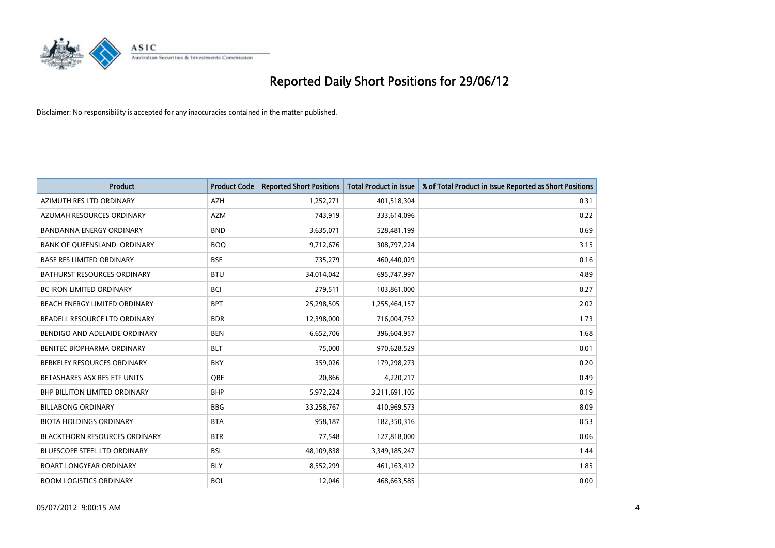

| <b>Product</b>                       | <b>Product Code</b> | <b>Reported Short Positions</b> | <b>Total Product in Issue</b> | % of Total Product in Issue Reported as Short Positions |
|--------------------------------------|---------------------|---------------------------------|-------------------------------|---------------------------------------------------------|
| AZIMUTH RES LTD ORDINARY             | <b>AZH</b>          | 1,252,271                       | 401,518,304                   | 0.31                                                    |
| AZUMAH RESOURCES ORDINARY            | <b>AZM</b>          | 743,919                         | 333,614,096                   | 0.22                                                    |
| <b>BANDANNA ENERGY ORDINARY</b>      | <b>BND</b>          | 3,635,071                       | 528,481,199                   | 0.69                                                    |
| BANK OF QUEENSLAND. ORDINARY         | <b>BOQ</b>          | 9,712,676                       | 308,797,224                   | 3.15                                                    |
| <b>BASE RES LIMITED ORDINARY</b>     | <b>BSE</b>          | 735,279                         | 460,440,029                   | 0.16                                                    |
| <b>BATHURST RESOURCES ORDINARY</b>   | <b>BTU</b>          | 34,014,042                      | 695,747,997                   | 4.89                                                    |
| <b>BC IRON LIMITED ORDINARY</b>      | <b>BCI</b>          | 279,511                         | 103,861,000                   | 0.27                                                    |
| BEACH ENERGY LIMITED ORDINARY        | <b>BPT</b>          | 25,298,505                      | 1,255,464,157                 | 2.02                                                    |
| BEADELL RESOURCE LTD ORDINARY        | <b>BDR</b>          | 12,398,000                      | 716,004,752                   | 1.73                                                    |
| BENDIGO AND ADELAIDE ORDINARY        | <b>BEN</b>          | 6,652,706                       | 396,604,957                   | 1.68                                                    |
| BENITEC BIOPHARMA ORDINARY           | <b>BLT</b>          | 75,000                          | 970,628,529                   | 0.01                                                    |
| BERKELEY RESOURCES ORDINARY          | <b>BKY</b>          | 359,026                         | 179,298,273                   | 0.20                                                    |
| BETASHARES ASX RES ETF UNITS         | <b>ORE</b>          | 20,866                          | 4,220,217                     | 0.49                                                    |
| <b>BHP BILLITON LIMITED ORDINARY</b> | <b>BHP</b>          | 5,972,224                       | 3,211,691,105                 | 0.19                                                    |
| <b>BILLABONG ORDINARY</b>            | <b>BBG</b>          | 33,258,767                      | 410,969,573                   | 8.09                                                    |
| <b>BIOTA HOLDINGS ORDINARY</b>       | <b>BTA</b>          | 958,187                         | 182,350,316                   | 0.53                                                    |
| <b>BLACKTHORN RESOURCES ORDINARY</b> | <b>BTR</b>          | 77,548                          | 127,818,000                   | 0.06                                                    |
| BLUESCOPE STEEL LTD ORDINARY         | <b>BSL</b>          | 48,109,838                      | 3,349,185,247                 | 1.44                                                    |
| <b>BOART LONGYEAR ORDINARY</b>       | <b>BLY</b>          | 8,552,299                       | 461,163,412                   | 1.85                                                    |
| <b>BOOM LOGISTICS ORDINARY</b>       | <b>BOL</b>          | 12,046                          | 468,663,585                   | 0.00                                                    |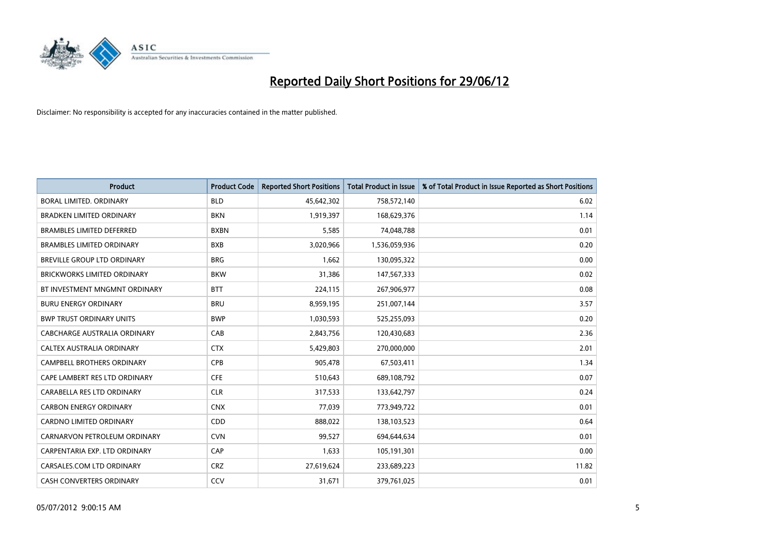

| <b>Product</b>                     | <b>Product Code</b> | <b>Reported Short Positions</b> | <b>Total Product in Issue</b> | % of Total Product in Issue Reported as Short Positions |
|------------------------------------|---------------------|---------------------------------|-------------------------------|---------------------------------------------------------|
| <b>BORAL LIMITED, ORDINARY</b>     | <b>BLD</b>          | 45,642,302                      | 758,572,140                   | 6.02                                                    |
| <b>BRADKEN LIMITED ORDINARY</b>    | <b>BKN</b>          | 1,919,397                       | 168,629,376                   | 1.14                                                    |
| BRAMBLES LIMITED DEFERRED          | <b>BXBN</b>         | 5,585                           | 74,048,788                    | 0.01                                                    |
| <b>BRAMBLES LIMITED ORDINARY</b>   | <b>BXB</b>          | 3,020,966                       | 1,536,059,936                 | 0.20                                                    |
| BREVILLE GROUP LTD ORDINARY        | <b>BRG</b>          | 1,662                           | 130,095,322                   | 0.00                                                    |
| <b>BRICKWORKS LIMITED ORDINARY</b> | <b>BKW</b>          | 31,386                          | 147,567,333                   | 0.02                                                    |
| BT INVESTMENT MNGMNT ORDINARY      | <b>BTT</b>          | 224,115                         | 267,906,977                   | 0.08                                                    |
| <b>BURU ENERGY ORDINARY</b>        | <b>BRU</b>          | 8,959,195                       | 251,007,144                   | 3.57                                                    |
| <b>BWP TRUST ORDINARY UNITS</b>    | <b>BWP</b>          | 1,030,593                       | 525,255,093                   | 0.20                                                    |
| CABCHARGE AUSTRALIA ORDINARY       | CAB                 | 2,843,756                       | 120,430,683                   | 2.36                                                    |
| CALTEX AUSTRALIA ORDINARY          | <b>CTX</b>          | 5,429,803                       | 270,000,000                   | 2.01                                                    |
| CAMPBELL BROTHERS ORDINARY         | <b>CPB</b>          | 905,478                         | 67,503,411                    | 1.34                                                    |
| CAPE LAMBERT RES LTD ORDINARY      | <b>CFE</b>          | 510,643                         | 689,108,792                   | 0.07                                                    |
| CARABELLA RES LTD ORDINARY         | <b>CLR</b>          | 317,533                         | 133,642,797                   | 0.24                                                    |
| <b>CARBON ENERGY ORDINARY</b>      | <b>CNX</b>          | 77,039                          | 773,949,722                   | 0.01                                                    |
| <b>CARDNO LIMITED ORDINARY</b>     | CDD                 | 888,022                         | 138,103,523                   | 0.64                                                    |
| CARNARVON PETROLEUM ORDINARY       | <b>CVN</b>          | 99,527                          | 694,644,634                   | 0.01                                                    |
| CARPENTARIA EXP. LTD ORDINARY      | <b>CAP</b>          | 1,633                           | 105,191,301                   | 0.00                                                    |
| CARSALES.COM LTD ORDINARY          | <b>CRZ</b>          | 27,619,624                      | 233,689,223                   | 11.82                                                   |
| <b>CASH CONVERTERS ORDINARY</b>    | CCV                 | 31,671                          | 379,761,025                   | 0.01                                                    |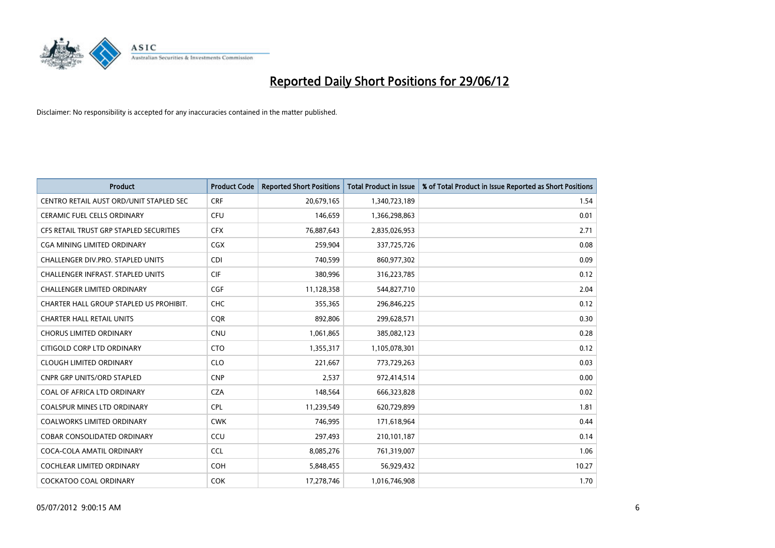

| <b>Product</b>                           | <b>Product Code</b> | <b>Reported Short Positions</b> | <b>Total Product in Issue</b> | % of Total Product in Issue Reported as Short Positions |
|------------------------------------------|---------------------|---------------------------------|-------------------------------|---------------------------------------------------------|
| CENTRO RETAIL AUST ORD/UNIT STAPLED SEC  | <b>CRF</b>          | 20,679,165                      | 1,340,723,189                 | 1.54                                                    |
| CERAMIC FUEL CELLS ORDINARY              | <b>CFU</b>          | 146,659                         | 1,366,298,863                 | 0.01                                                    |
| CFS RETAIL TRUST GRP STAPLED SECURITIES  | <b>CFX</b>          | 76,887,643                      | 2,835,026,953                 | 2.71                                                    |
| CGA MINING LIMITED ORDINARY              | <b>CGX</b>          | 259,904                         | 337,725,726                   | 0.08                                                    |
| CHALLENGER DIV.PRO. STAPLED UNITS        | <b>CDI</b>          | 740,599                         | 860,977,302                   | 0.09                                                    |
| <b>CHALLENGER INFRAST, STAPLED UNITS</b> | <b>CIF</b>          | 380,996                         | 316,223,785                   | 0.12                                                    |
| CHALLENGER LIMITED ORDINARY              | <b>CGF</b>          | 11,128,358                      | 544,827,710                   | 2.04                                                    |
| CHARTER HALL GROUP STAPLED US PROHIBIT.  | <b>CHC</b>          | 355,365                         | 296,846,225                   | 0.12                                                    |
| <b>CHARTER HALL RETAIL UNITS</b>         | <b>CQR</b>          | 892,806                         | 299,628,571                   | 0.30                                                    |
| <b>CHORUS LIMITED ORDINARY</b>           | <b>CNU</b>          | 1,061,865                       | 385,082,123                   | 0.28                                                    |
| CITIGOLD CORP LTD ORDINARY               | <b>CTO</b>          | 1,355,317                       | 1,105,078,301                 | 0.12                                                    |
| <b>CLOUGH LIMITED ORDINARY</b>           | <b>CLO</b>          | 221,667                         | 773,729,263                   | 0.03                                                    |
| <b>CNPR GRP UNITS/ORD STAPLED</b>        | <b>CNP</b>          | 2,537                           | 972,414,514                   | 0.00                                                    |
| COAL OF AFRICA LTD ORDINARY              | <b>CZA</b>          | 148,564                         | 666,323,828                   | 0.02                                                    |
| <b>COALSPUR MINES LTD ORDINARY</b>       | <b>CPL</b>          | 11,239,549                      | 620,729,899                   | 1.81                                                    |
| COALWORKS LIMITED ORDINARY               | <b>CWK</b>          | 746,995                         | 171,618,964                   | 0.44                                                    |
| COBAR CONSOLIDATED ORDINARY              | CCU                 | 297,493                         | 210,101,187                   | 0.14                                                    |
| COCA-COLA AMATIL ORDINARY                | <b>CCL</b>          | 8,085,276                       | 761,319,007                   | 1.06                                                    |
| <b>COCHLEAR LIMITED ORDINARY</b>         | <b>COH</b>          | 5,848,455                       | 56,929,432                    | 10.27                                                   |
| <b>COCKATOO COAL ORDINARY</b>            | <b>COK</b>          | 17,278,746                      | 1,016,746,908                 | 1.70                                                    |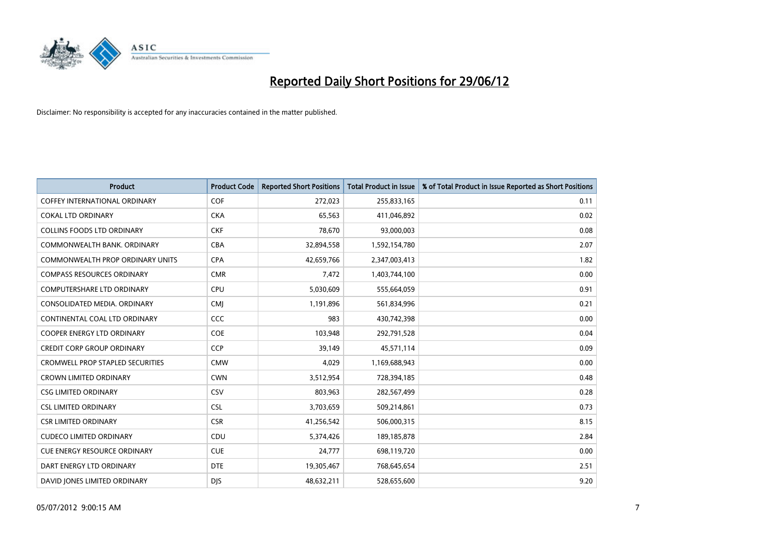

| <b>Product</b>                          | <b>Product Code</b> | <b>Reported Short Positions</b> | <b>Total Product in Issue</b> | % of Total Product in Issue Reported as Short Positions |
|-----------------------------------------|---------------------|---------------------------------|-------------------------------|---------------------------------------------------------|
| <b>COFFEY INTERNATIONAL ORDINARY</b>    | <b>COF</b>          | 272,023                         | 255,833,165                   | 0.11                                                    |
| <b>COKAL LTD ORDINARY</b>               | <b>CKA</b>          | 65,563                          | 411,046,892                   | 0.02                                                    |
| COLLINS FOODS LTD ORDINARY              | <b>CKF</b>          | 78,670                          | 93,000,003                    | 0.08                                                    |
| COMMONWEALTH BANK, ORDINARY             | <b>CBA</b>          | 32,894,558                      | 1,592,154,780                 | 2.07                                                    |
| <b>COMMONWEALTH PROP ORDINARY UNITS</b> | <b>CPA</b>          | 42,659,766                      | 2,347,003,413                 | 1.82                                                    |
| <b>COMPASS RESOURCES ORDINARY</b>       | <b>CMR</b>          | 7,472                           | 1,403,744,100                 | 0.00                                                    |
| COMPUTERSHARE LTD ORDINARY              | <b>CPU</b>          | 5,030,609                       | 555,664,059                   | 0.91                                                    |
| CONSOLIDATED MEDIA. ORDINARY            | <b>CMJ</b>          | 1,191,896                       | 561,834,996                   | 0.21                                                    |
| CONTINENTAL COAL LTD ORDINARY           | <b>CCC</b>          | 983                             | 430,742,398                   | 0.00                                                    |
| <b>COOPER ENERGY LTD ORDINARY</b>       | <b>COE</b>          | 103,948                         | 292,791,528                   | 0.04                                                    |
| <b>CREDIT CORP GROUP ORDINARY</b>       | <b>CCP</b>          | 39,149                          | 45,571,114                    | 0.09                                                    |
| <b>CROMWELL PROP STAPLED SECURITIES</b> | <b>CMW</b>          | 4,029                           | 1,169,688,943                 | 0.00                                                    |
| <b>CROWN LIMITED ORDINARY</b>           | <b>CWN</b>          | 3,512,954                       | 728,394,185                   | 0.48                                                    |
| <b>CSG LIMITED ORDINARY</b>             | CSV                 | 803,963                         | 282,567,499                   | 0.28                                                    |
| <b>CSL LIMITED ORDINARY</b>             | <b>CSL</b>          | 3,703,659                       | 509,214,861                   | 0.73                                                    |
| <b>CSR LIMITED ORDINARY</b>             | <b>CSR</b>          | 41,256,542                      | 506,000,315                   | 8.15                                                    |
| <b>CUDECO LIMITED ORDINARY</b>          | CDU                 | 5,374,426                       | 189, 185, 878                 | 2.84                                                    |
| <b>CUE ENERGY RESOURCE ORDINARY</b>     | <b>CUE</b>          | 24,777                          | 698,119,720                   | 0.00                                                    |
| DART ENERGY LTD ORDINARY                | <b>DTE</b>          | 19,305,467                      | 768,645,654                   | 2.51                                                    |
| DAVID JONES LIMITED ORDINARY            | <b>DJS</b>          | 48,632,211                      | 528,655,600                   | 9.20                                                    |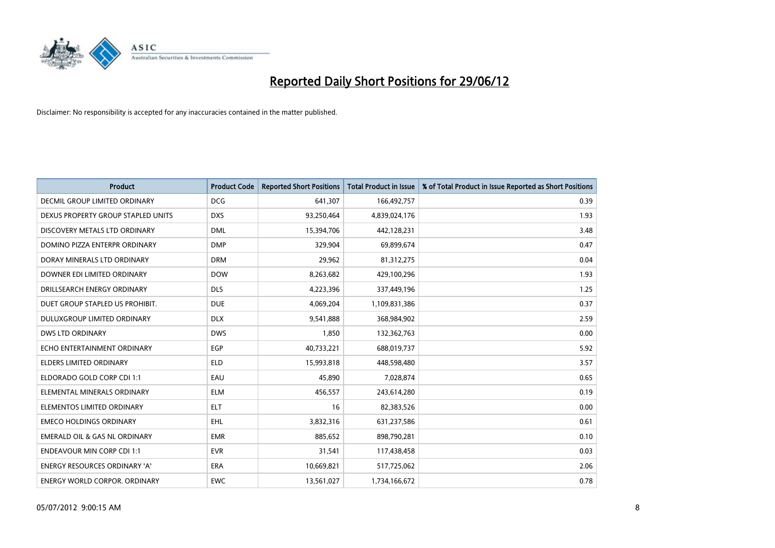

| <b>Product</b>                           | <b>Product Code</b> | <b>Reported Short Positions</b> | <b>Total Product in Issue</b> | % of Total Product in Issue Reported as Short Positions |
|------------------------------------------|---------------------|---------------------------------|-------------------------------|---------------------------------------------------------|
| DECMIL GROUP LIMITED ORDINARY            | <b>DCG</b>          | 641,307                         | 166,492,757                   | 0.39                                                    |
| DEXUS PROPERTY GROUP STAPLED UNITS       | <b>DXS</b>          | 93,250,464                      | 4,839,024,176                 | 1.93                                                    |
| DISCOVERY METALS LTD ORDINARY            | <b>DML</b>          | 15,394,706                      | 442,128,231                   | 3.48                                                    |
| DOMINO PIZZA ENTERPR ORDINARY            | <b>DMP</b>          | 329,904                         | 69,899,674                    | 0.47                                                    |
| DORAY MINERALS LTD ORDINARY              | <b>DRM</b>          | 29,962                          | 81,312,275                    | 0.04                                                    |
| DOWNER EDI LIMITED ORDINARY              | <b>DOW</b>          | 8,263,682                       | 429,100,296                   | 1.93                                                    |
| DRILLSEARCH ENERGY ORDINARY              | <b>DLS</b>          | 4,223,396                       | 337,449,196                   | 1.25                                                    |
| DUET GROUP STAPLED US PROHIBIT.          | <b>DUE</b>          | 4,069,204                       | 1,109,831,386                 | 0.37                                                    |
| DULUXGROUP LIMITED ORDINARY              | <b>DLX</b>          | 9,541,888                       | 368,984,902                   | 2.59                                                    |
| DWS LTD ORDINARY                         | <b>DWS</b>          | 1,850                           | 132,362,763                   | 0.00                                                    |
| ECHO ENTERTAINMENT ORDINARY              | <b>EGP</b>          | 40,733,221                      | 688,019,737                   | 5.92                                                    |
| <b>ELDERS LIMITED ORDINARY</b>           | <b>ELD</b>          | 15,993,818                      | 448,598,480                   | 3.57                                                    |
| ELDORADO GOLD CORP CDI 1:1               | EAU                 | 45,890                          | 7,028,874                     | 0.65                                                    |
| ELEMENTAL MINERALS ORDINARY              | <b>ELM</b>          | 456,557                         | 243,614,280                   | 0.19                                                    |
| ELEMENTOS LIMITED ORDINARY               | <b>ELT</b>          | 16                              | 82,383,526                    | 0.00                                                    |
| <b>EMECO HOLDINGS ORDINARY</b>           | <b>EHL</b>          | 3,832,316                       | 631,237,586                   | 0.61                                                    |
| <b>EMERALD OIL &amp; GAS NL ORDINARY</b> | <b>EMR</b>          | 885,652                         | 898,790,281                   | 0.10                                                    |
| <b>ENDEAVOUR MIN CORP CDI 1:1</b>        | <b>EVR</b>          | 31,541                          | 117,438,458                   | 0.03                                                    |
| <b>ENERGY RESOURCES ORDINARY 'A'</b>     | <b>ERA</b>          | 10,669,821                      | 517,725,062                   | 2.06                                                    |
| <b>ENERGY WORLD CORPOR. ORDINARY</b>     | <b>EWC</b>          | 13,561,027                      | 1,734,166,672                 | 0.78                                                    |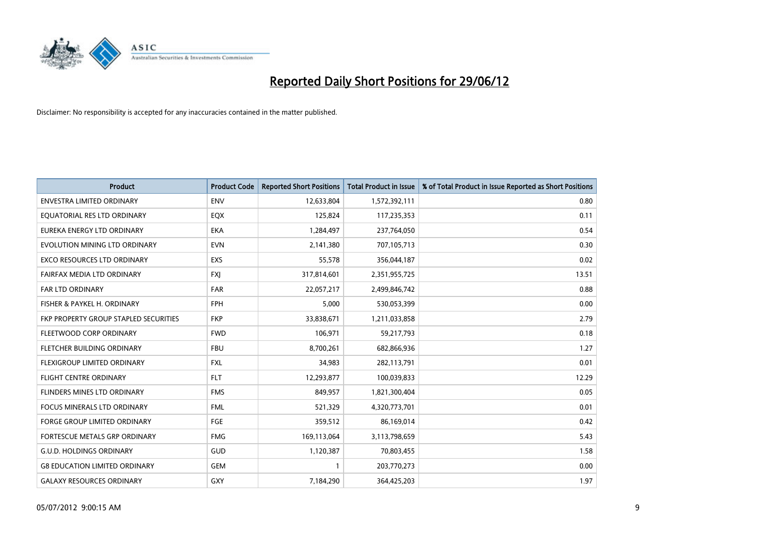

| <b>Product</b>                        | <b>Product Code</b> | <b>Reported Short Positions</b> | <b>Total Product in Issue</b> | % of Total Product in Issue Reported as Short Positions |
|---------------------------------------|---------------------|---------------------------------|-------------------------------|---------------------------------------------------------|
| <b>ENVESTRA LIMITED ORDINARY</b>      | <b>ENV</b>          | 12,633,804                      | 1,572,392,111                 | 0.80                                                    |
| EQUATORIAL RES LTD ORDINARY           | EQX                 | 125,824                         | 117,235,353                   | 0.11                                                    |
| EUREKA ENERGY LTD ORDINARY            | <b>EKA</b>          | 1,284,497                       | 237,764,050                   | 0.54                                                    |
| EVOLUTION MINING LTD ORDINARY         | <b>EVN</b>          | 2,141,380                       | 707,105,713                   | 0.30                                                    |
| <b>EXCO RESOURCES LTD ORDINARY</b>    | EXS                 | 55,578                          | 356,044,187                   | 0.02                                                    |
| FAIRFAX MEDIA LTD ORDINARY            | <b>FXI</b>          | 317,814,601                     | 2,351,955,725                 | 13.51                                                   |
| <b>FAR LTD ORDINARY</b>               | <b>FAR</b>          | 22,057,217                      | 2,499,846,742                 | 0.88                                                    |
| FISHER & PAYKEL H. ORDINARY           | <b>FPH</b>          | 5,000                           | 530,053,399                   | 0.00                                                    |
| FKP PROPERTY GROUP STAPLED SECURITIES | <b>FKP</b>          | 33,838,671                      | 1,211,033,858                 | 2.79                                                    |
| FLEETWOOD CORP ORDINARY               | <b>FWD</b>          | 106,971                         | 59,217,793                    | 0.18                                                    |
| FLETCHER BUILDING ORDINARY            | <b>FBU</b>          | 8,700,261                       | 682,866,936                   | 1.27                                                    |
| FLEXIGROUP LIMITED ORDINARY           | FXL                 | 34,983                          | 282,113,791                   | 0.01                                                    |
| FLIGHT CENTRE ORDINARY                | <b>FLT</b>          | 12,293,877                      | 100,039,833                   | 12.29                                                   |
| FLINDERS MINES LTD ORDINARY           | <b>FMS</b>          | 849,957                         | 1,821,300,404                 | 0.05                                                    |
| <b>FOCUS MINERALS LTD ORDINARY</b>    | <b>FML</b>          | 521,329                         | 4,320,773,701                 | 0.01                                                    |
| FORGE GROUP LIMITED ORDINARY          | FGE                 | 359,512                         | 86,169,014                    | 0.42                                                    |
| FORTESCUE METALS GRP ORDINARY         | <b>FMG</b>          | 169,113,064                     | 3,113,798,659                 | 5.43                                                    |
| <b>G.U.D. HOLDINGS ORDINARY</b>       | GUD                 | 1,120,387                       | 70,803,455                    | 1.58                                                    |
| <b>G8 EDUCATION LIMITED ORDINARY</b>  | <b>GEM</b>          | $\mathbf{1}$                    | 203,770,273                   | 0.00                                                    |
| <b>GALAXY RESOURCES ORDINARY</b>      | <b>GXY</b>          | 7,184,290                       | 364,425,203                   | 1.97                                                    |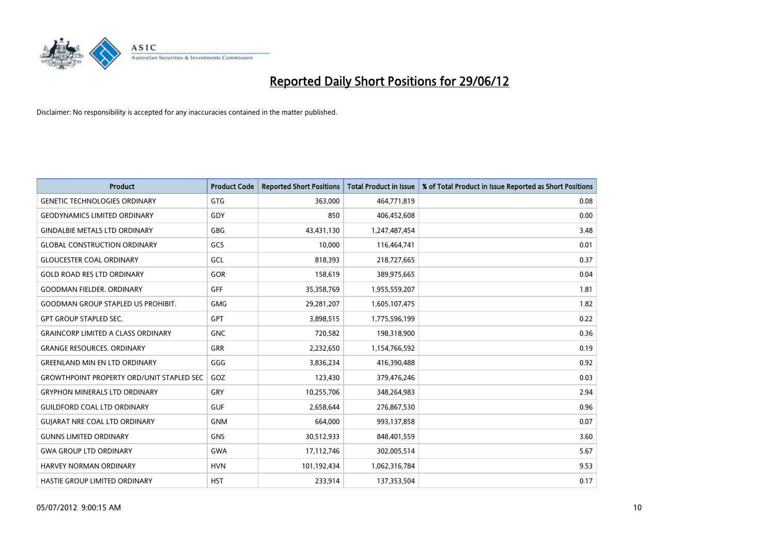

| <b>Product</b>                                   | <b>Product Code</b> | <b>Reported Short Positions</b> | <b>Total Product in Issue</b> | % of Total Product in Issue Reported as Short Positions |
|--------------------------------------------------|---------------------|---------------------------------|-------------------------------|---------------------------------------------------------|
| <b>GENETIC TECHNOLOGIES ORDINARY</b>             | <b>GTG</b>          | 363,000                         | 464,771,819                   | 0.08                                                    |
| <b>GEODYNAMICS LIMITED ORDINARY</b>              | GDY                 | 850                             | 406,452,608                   | 0.00                                                    |
| <b>GINDALBIE METALS LTD ORDINARY</b>             | GBG                 | 43,431,130                      | 1,247,487,454                 | 3.48                                                    |
| <b>GLOBAL CONSTRUCTION ORDINARY</b>              | GCS                 | 10,000                          | 116,464,741                   | 0.01                                                    |
| <b>GLOUCESTER COAL ORDINARY</b>                  | GCL                 | 818,393                         | 218,727,665                   | 0.37                                                    |
| <b>GOLD ROAD RES LTD ORDINARY</b>                | GOR                 | 158,619                         | 389,975,665                   | 0.04                                                    |
| <b>GOODMAN FIELDER, ORDINARY</b>                 | <b>GFF</b>          | 35,358,769                      | 1,955,559,207                 | 1.81                                                    |
| <b>GOODMAN GROUP STAPLED US PROHIBIT.</b>        | <b>GMG</b>          | 29,281,207                      | 1,605,107,475                 | 1.82                                                    |
| <b>GPT GROUP STAPLED SEC.</b>                    | GPT                 | 3,898,515                       | 1,775,596,199                 | 0.22                                                    |
| <b>GRAINCORP LIMITED A CLASS ORDINARY</b>        | <b>GNC</b>          | 720,582                         | 198,318,900                   | 0.36                                                    |
| <b>GRANGE RESOURCES. ORDINARY</b>                | GRR                 | 2,232,650                       | 1,154,766,592                 | 0.19                                                    |
| <b>GREENLAND MIN EN LTD ORDINARY</b>             | GGG                 | 3,836,234                       | 416,390,488                   | 0.92                                                    |
| <b>GROWTHPOINT PROPERTY ORD/UNIT STAPLED SEC</b> | GOZ                 | 123,430                         | 379,476,246                   | 0.03                                                    |
| <b>GRYPHON MINERALS LTD ORDINARY</b>             | GRY                 | 10,255,706                      | 348,264,983                   | 2.94                                                    |
| <b>GUILDFORD COAL LTD ORDINARY</b>               | <b>GUF</b>          | 2,658,644                       | 276,867,530                   | 0.96                                                    |
| <b>GUIARAT NRE COAL LTD ORDINARY</b>             | <b>GNM</b>          | 664,000                         | 993,137,858                   | 0.07                                                    |
| <b>GUNNS LIMITED ORDINARY</b>                    | <b>GNS</b>          | 30,512,933                      | 848,401,559                   | 3.60                                                    |
| <b>GWA GROUP LTD ORDINARY</b>                    | <b>GWA</b>          | 17,112,746                      | 302,005,514                   | 5.67                                                    |
| HARVEY NORMAN ORDINARY                           | <b>HVN</b>          | 101,192,434                     | 1,062,316,784                 | 9.53                                                    |
| HASTIE GROUP LIMITED ORDINARY                    | <b>HST</b>          | 233,914                         | 137,353,504                   | 0.17                                                    |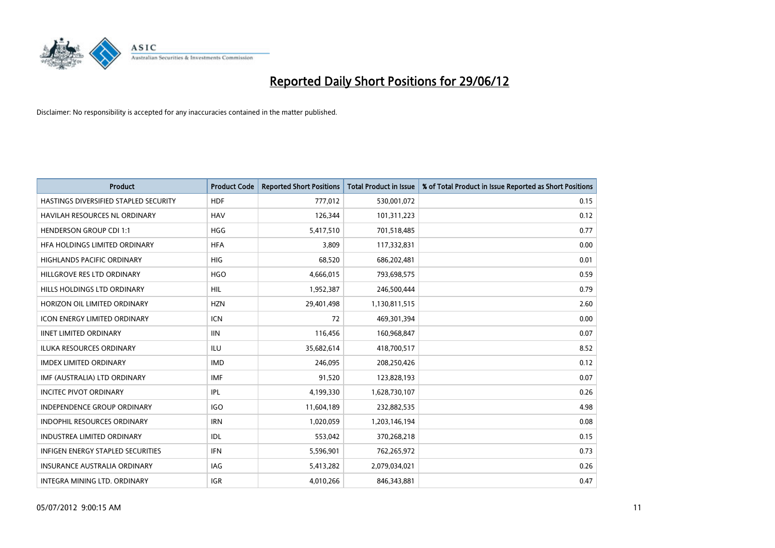

| <b>Product</b>                           | <b>Product Code</b> | <b>Reported Short Positions</b> | <b>Total Product in Issue</b> | % of Total Product in Issue Reported as Short Positions |
|------------------------------------------|---------------------|---------------------------------|-------------------------------|---------------------------------------------------------|
| HASTINGS DIVERSIFIED STAPLED SECURITY    | <b>HDF</b>          | 777,012                         | 530,001,072                   | 0.15                                                    |
| HAVILAH RESOURCES NL ORDINARY            | <b>HAV</b>          | 126,344                         | 101,311,223                   | 0.12                                                    |
| <b>HENDERSON GROUP CDI 1:1</b>           | <b>HGG</b>          | 5,417,510                       | 701,518,485                   | 0.77                                                    |
| HFA HOLDINGS LIMITED ORDINARY            | <b>HFA</b>          | 3,809                           | 117,332,831                   | 0.00                                                    |
| <b>HIGHLANDS PACIFIC ORDINARY</b>        | <b>HIG</b>          | 68,520                          | 686,202,481                   | 0.01                                                    |
| HILLGROVE RES LTD ORDINARY               | <b>HGO</b>          | 4,666,015                       | 793,698,575                   | 0.59                                                    |
| HILLS HOLDINGS LTD ORDINARY              | <b>HIL</b>          | 1,952,387                       | 246,500,444                   | 0.79                                                    |
| HORIZON OIL LIMITED ORDINARY             | <b>HZN</b>          | 29,401,498                      | 1,130,811,515                 | 2.60                                                    |
| <b>ICON ENERGY LIMITED ORDINARY</b>      | <b>ICN</b>          | 72                              | 469,301,394                   | 0.00                                                    |
| <b>IINET LIMITED ORDINARY</b>            | <b>IIN</b>          | 116,456                         | 160,968,847                   | 0.07                                                    |
| ILUKA RESOURCES ORDINARY                 | ILU                 | 35,682,614                      | 418,700,517                   | 8.52                                                    |
| <b>IMDEX LIMITED ORDINARY</b>            | <b>IMD</b>          | 246,095                         | 208,250,426                   | 0.12                                                    |
| IMF (AUSTRALIA) LTD ORDINARY             | <b>IMF</b>          | 91,520                          | 123,828,193                   | 0.07                                                    |
| <b>INCITEC PIVOT ORDINARY</b>            | <b>IPL</b>          | 4,199,330                       | 1,628,730,107                 | 0.26                                                    |
| <b>INDEPENDENCE GROUP ORDINARY</b>       | <b>IGO</b>          | 11,604,189                      | 232,882,535                   | 4.98                                                    |
| INDOPHIL RESOURCES ORDINARY              | <b>IRN</b>          | 1,020,059                       | 1,203,146,194                 | 0.08                                                    |
| INDUSTREA LIMITED ORDINARY               | IDL                 | 553,042                         | 370,268,218                   | 0.15                                                    |
| <b>INFIGEN ENERGY STAPLED SECURITIES</b> | <b>IFN</b>          | 5,596,901                       | 762,265,972                   | 0.73                                                    |
| <b>INSURANCE AUSTRALIA ORDINARY</b>      | <b>IAG</b>          | 5,413,282                       | 2,079,034,021                 | 0.26                                                    |
| INTEGRA MINING LTD. ORDINARY             | <b>IGR</b>          | 4,010,266                       | 846,343,881                   | 0.47                                                    |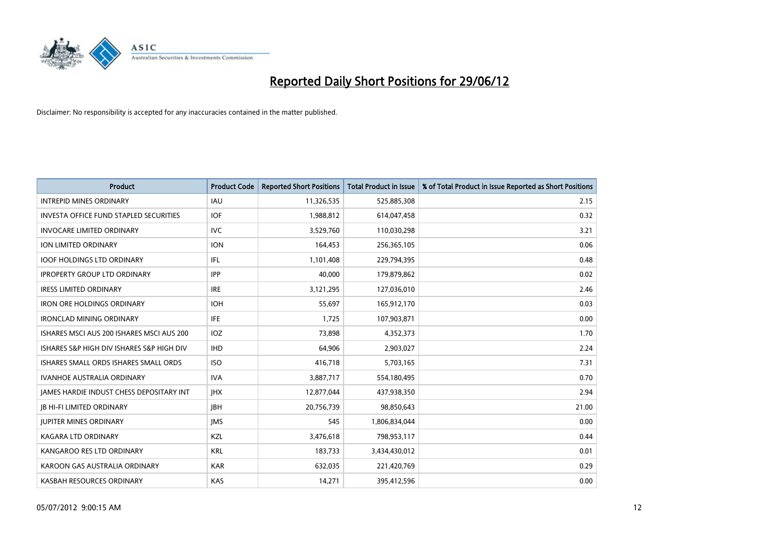

| <b>Product</b>                                  | <b>Product Code</b> | <b>Reported Short Positions</b> | <b>Total Product in Issue</b> | % of Total Product in Issue Reported as Short Positions |
|-------------------------------------------------|---------------------|---------------------------------|-------------------------------|---------------------------------------------------------|
| <b>INTREPID MINES ORDINARY</b>                  | <b>IAU</b>          | 11,326,535                      | 525,885,308                   | 2.15                                                    |
| <b>INVESTA OFFICE FUND STAPLED SECURITIES</b>   | <b>IOF</b>          | 1,988,812                       | 614,047,458                   | 0.32                                                    |
| <b>INVOCARE LIMITED ORDINARY</b>                | <b>IVC</b>          | 3,529,760                       | 110,030,298                   | 3.21                                                    |
| ION LIMITED ORDINARY                            | <b>ION</b>          | 164,453                         | 256,365,105                   | 0.06                                                    |
| <b>IOOF HOLDINGS LTD ORDINARY</b>               | IFL                 | 1,101,408                       | 229,794,395                   | 0.48                                                    |
| <b>IPROPERTY GROUP LTD ORDINARY</b>             | <b>IPP</b>          | 40,000                          | 179,879,862                   | 0.02                                                    |
| <b>IRESS LIMITED ORDINARY</b>                   | <b>IRE</b>          | 3,121,295                       | 127,036,010                   | 2.46                                                    |
| <b>IRON ORE HOLDINGS ORDINARY</b>               | <b>IOH</b>          | 55,697                          | 165,912,170                   | 0.03                                                    |
| <b>IRONCLAD MINING ORDINARY</b>                 | IFE.                | 1,725                           | 107,903,871                   | 0.00                                                    |
| ISHARES MSCI AUS 200 ISHARES MSCI AUS 200       | <b>IOZ</b>          | 73,898                          | 4,352,373                     | 1.70                                                    |
| ISHARES S&P HIGH DIV ISHARES S&P HIGH DIV       | <b>IHD</b>          | 64,906                          | 2,903,027                     | 2.24                                                    |
| ISHARES SMALL ORDS ISHARES SMALL ORDS           | <b>ISO</b>          | 416,718                         | 5,703,165                     | 7.31                                                    |
| <b>IVANHOE AUSTRALIA ORDINARY</b>               | <b>IVA</b>          | 3,887,717                       | 554,180,495                   | 0.70                                                    |
| <b>IAMES HARDIE INDUST CHESS DEPOSITARY INT</b> | <b>IHX</b>          | 12,877,044                      | 437,938,350                   | 2.94                                                    |
| <b>JB HI-FI LIMITED ORDINARY</b>                | <b>IBH</b>          | 20,756,739                      | 98,850,643                    | 21.00                                                   |
| <b>JUPITER MINES ORDINARY</b>                   | <b>IMS</b>          | 545                             | 1,806,834,044                 | 0.00                                                    |
| KAGARA LTD ORDINARY                             | KZL                 | 3,476,618                       | 798,953,117                   | 0.44                                                    |
| KANGAROO RES LTD ORDINARY                       | <b>KRL</b>          | 183,733                         | 3,434,430,012                 | 0.01                                                    |
| KAROON GAS AUSTRALIA ORDINARY                   | <b>KAR</b>          | 632,035                         | 221,420,769                   | 0.29                                                    |
| KASBAH RESOURCES ORDINARY                       | <b>KAS</b>          | 14,271                          | 395,412,596                   | 0.00                                                    |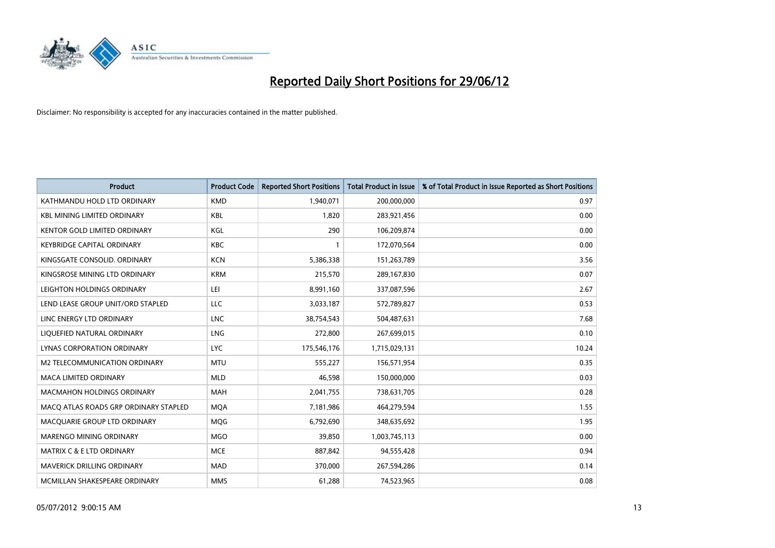

| <b>Product</b>                        | <b>Product Code</b> | <b>Reported Short Positions</b> | <b>Total Product in Issue</b> | % of Total Product in Issue Reported as Short Positions |
|---------------------------------------|---------------------|---------------------------------|-------------------------------|---------------------------------------------------------|
| KATHMANDU HOLD LTD ORDINARY           | <b>KMD</b>          | 1,940,071                       | 200,000,000                   | 0.97                                                    |
| <b>KBL MINING LIMITED ORDINARY</b>    | KBL                 | 1,820                           | 283,921,456                   | 0.00                                                    |
| KENTOR GOLD LIMITED ORDINARY          | KGL                 | 290                             | 106,209,874                   | 0.00                                                    |
| KEYBRIDGE CAPITAL ORDINARY            | <b>KBC</b>          | 1                               | 172,070,564                   | 0.00                                                    |
| KINGSGATE CONSOLID, ORDINARY          | <b>KCN</b>          | 5,386,338                       | 151,263,789                   | 3.56                                                    |
| KINGSROSE MINING LTD ORDINARY         | <b>KRM</b>          | 215,570                         | 289,167,830                   | 0.07                                                    |
| LEIGHTON HOLDINGS ORDINARY            | LEI                 | 8,991,160                       | 337,087,596                   | 2.67                                                    |
| LEND LEASE GROUP UNIT/ORD STAPLED     | LLC                 | 3,033,187                       | 572,789,827                   | 0.53                                                    |
| LINC ENERGY LTD ORDINARY              | <b>LNC</b>          | 38,754,543                      | 504,487,631                   | 7.68                                                    |
| LIQUEFIED NATURAL ORDINARY            | <b>LNG</b>          | 272,800                         | 267,699,015                   | 0.10                                                    |
| LYNAS CORPORATION ORDINARY            | <b>LYC</b>          | 175,546,176                     | 1,715,029,131                 | 10.24                                                   |
| M2 TELECOMMUNICATION ORDINARY         | <b>MTU</b>          | 555,227                         | 156,571,954                   | 0.35                                                    |
| <b>MACA LIMITED ORDINARY</b>          | <b>MLD</b>          | 46,598                          | 150,000,000                   | 0.03                                                    |
| <b>MACMAHON HOLDINGS ORDINARY</b>     | MAH                 | 2,041,755                       | 738,631,705                   | 0.28                                                    |
| MACO ATLAS ROADS GRP ORDINARY STAPLED | <b>MQA</b>          | 7,181,986                       | 464,279,594                   | 1.55                                                    |
| MACQUARIE GROUP LTD ORDINARY          | <b>MOG</b>          | 6,792,690                       | 348,635,692                   | 1.95                                                    |
| MARENGO MINING ORDINARY               | <b>MGO</b>          | 39,850                          | 1,003,745,113                 | 0.00                                                    |
| MATRIX C & E LTD ORDINARY             | <b>MCE</b>          | 887,842                         | 94,555,428                    | 0.94                                                    |
| <b>MAVERICK DRILLING ORDINARY</b>     | <b>MAD</b>          | 370,000                         | 267,594,286                   | 0.14                                                    |
| MCMILLAN SHAKESPEARE ORDINARY         | <b>MMS</b>          | 61,288                          | 74,523,965                    | 0.08                                                    |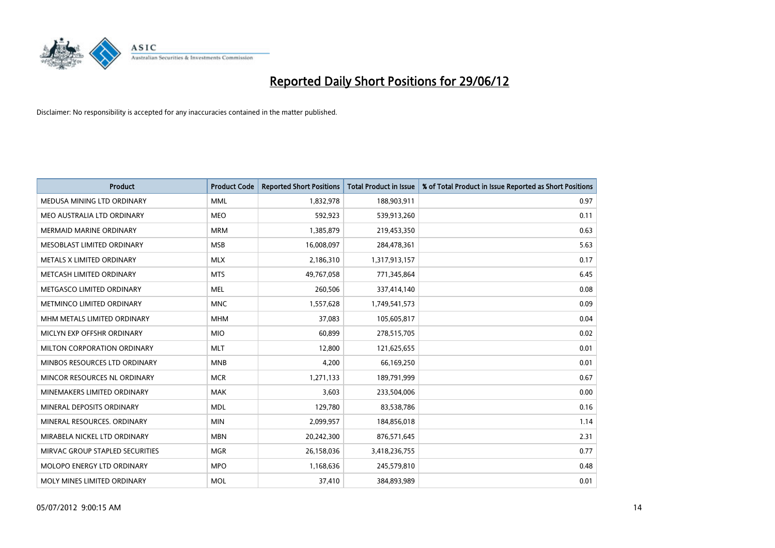

| <b>Product</b>                  | <b>Product Code</b> | <b>Reported Short Positions</b> | <b>Total Product in Issue</b> | % of Total Product in Issue Reported as Short Positions |
|---------------------------------|---------------------|---------------------------------|-------------------------------|---------------------------------------------------------|
| MEDUSA MINING LTD ORDINARY      | <b>MML</b>          | 1,832,978                       | 188,903,911                   | 0.97                                                    |
| MEO AUSTRALIA LTD ORDINARY      | <b>MEO</b>          | 592,923                         | 539,913,260                   | 0.11                                                    |
| <b>MERMAID MARINE ORDINARY</b>  | <b>MRM</b>          | 1,385,879                       | 219,453,350                   | 0.63                                                    |
| MESOBLAST LIMITED ORDINARY      | <b>MSB</b>          | 16,008,097                      | 284,478,361                   | 5.63                                                    |
| METALS X LIMITED ORDINARY       | <b>MLX</b>          | 2,186,310                       | 1,317,913,157                 | 0.17                                                    |
| METCASH LIMITED ORDINARY        | <b>MTS</b>          | 49,767,058                      | 771,345,864                   | 6.45                                                    |
| METGASCO LIMITED ORDINARY       | <b>MEL</b>          | 260,506                         | 337,414,140                   | 0.08                                                    |
| METMINCO LIMITED ORDINARY       | <b>MNC</b>          | 1,557,628                       | 1,749,541,573                 | 0.09                                                    |
| MHM METALS LIMITED ORDINARY     | <b>MHM</b>          | 37,083                          | 105,605,817                   | 0.04                                                    |
| MICLYN EXP OFFSHR ORDINARY      | <b>MIO</b>          | 60,899                          | 278,515,705                   | 0.02                                                    |
| MILTON CORPORATION ORDINARY     | <b>MLT</b>          | 12,800                          | 121,625,655                   | 0.01                                                    |
| MINBOS RESOURCES LTD ORDINARY   | <b>MNB</b>          | 4,200                           | 66,169,250                    | 0.01                                                    |
| MINCOR RESOURCES NL ORDINARY    | <b>MCR</b>          | 1,271,133                       | 189,791,999                   | 0.67                                                    |
| MINEMAKERS LIMITED ORDINARY     | <b>MAK</b>          | 3,603                           | 233,504,006                   | 0.00                                                    |
| MINERAL DEPOSITS ORDINARY       | <b>MDL</b>          | 129,780                         | 83,538,786                    | 0.16                                                    |
| MINERAL RESOURCES. ORDINARY     | <b>MIN</b>          | 2,099,957                       | 184,856,018                   | 1.14                                                    |
| MIRABELA NICKEL LTD ORDINARY    | <b>MBN</b>          | 20,242,300                      | 876,571,645                   | 2.31                                                    |
| MIRVAC GROUP STAPLED SECURITIES | <b>MGR</b>          | 26,158,036                      | 3,418,236,755                 | 0.77                                                    |
| MOLOPO ENERGY LTD ORDINARY      | <b>MPO</b>          | 1,168,636                       | 245,579,810                   | 0.48                                                    |
| MOLY MINES LIMITED ORDINARY     | <b>MOL</b>          | 37,410                          | 384,893,989                   | 0.01                                                    |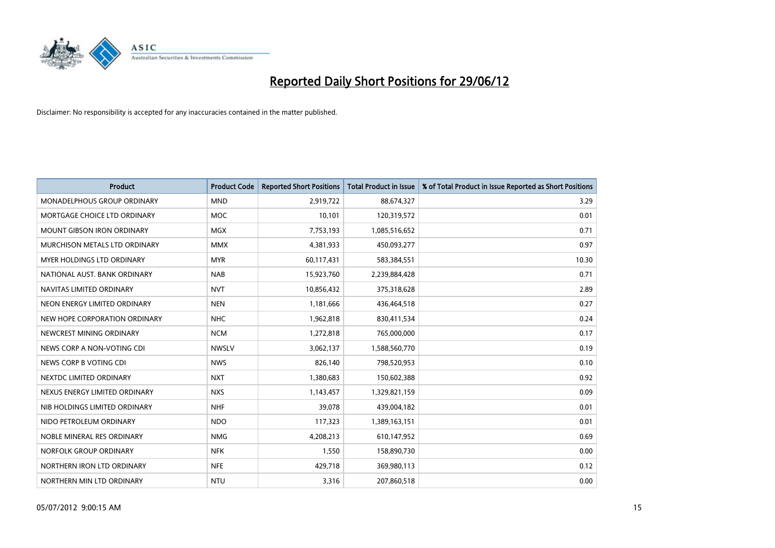

| <b>Product</b>                    | <b>Product Code</b> | <b>Reported Short Positions</b> | <b>Total Product in Issue</b> | % of Total Product in Issue Reported as Short Positions |
|-----------------------------------|---------------------|---------------------------------|-------------------------------|---------------------------------------------------------|
| MONADELPHOUS GROUP ORDINARY       | <b>MND</b>          | 2,919,722                       | 88,674,327                    | 3.29                                                    |
| MORTGAGE CHOICE LTD ORDINARY      | <b>MOC</b>          | 10,101                          | 120,319,572                   | 0.01                                                    |
| <b>MOUNT GIBSON IRON ORDINARY</b> | <b>MGX</b>          | 7,753,193                       | 1,085,516,652                 | 0.71                                                    |
| MURCHISON METALS LTD ORDINARY     | <b>MMX</b>          | 4,381,933                       | 450,093,277                   | 0.97                                                    |
| MYER HOLDINGS LTD ORDINARY        | <b>MYR</b>          | 60,117,431                      | 583,384,551                   | 10.30                                                   |
| NATIONAL AUST, BANK ORDINARY      | <b>NAB</b>          | 15,923,760                      | 2,239,884,428                 | 0.71                                                    |
| NAVITAS LIMITED ORDINARY          | <b>NVT</b>          | 10,856,432                      | 375,318,628                   | 2.89                                                    |
| NEON ENERGY LIMITED ORDINARY      | <b>NEN</b>          | 1,181,666                       | 436,464,518                   | 0.27                                                    |
| NEW HOPE CORPORATION ORDINARY     | <b>NHC</b>          | 1,962,818                       | 830,411,534                   | 0.24                                                    |
| NEWCREST MINING ORDINARY          | <b>NCM</b>          | 1,272,818                       | 765,000,000                   | 0.17                                                    |
| NEWS CORP A NON-VOTING CDI        | <b>NWSLV</b>        | 3,062,137                       | 1,588,560,770                 | 0.19                                                    |
| NEWS CORP B VOTING CDI            | <b>NWS</b>          | 826,140                         | 798,520,953                   | 0.10                                                    |
| NEXTDC LIMITED ORDINARY           | <b>NXT</b>          | 1,380,683                       | 150,602,388                   | 0.92                                                    |
| NEXUS ENERGY LIMITED ORDINARY     | <b>NXS</b>          | 1,143,457                       | 1,329,821,159                 | 0.09                                                    |
| NIB HOLDINGS LIMITED ORDINARY     | <b>NHF</b>          | 39,078                          | 439,004,182                   | 0.01                                                    |
| NIDO PETROLEUM ORDINARY           | <b>NDO</b>          | 117,323                         | 1,389,163,151                 | 0.01                                                    |
| NOBLE MINERAL RES ORDINARY        | <b>NMG</b>          | 4,208,213                       | 610,147,952                   | 0.69                                                    |
| NORFOLK GROUP ORDINARY            | <b>NFK</b>          | 1,550                           | 158,890,730                   | 0.00                                                    |
| NORTHERN IRON LTD ORDINARY        | <b>NFE</b>          | 429,718                         | 369,980,113                   | 0.12                                                    |
| NORTHERN MIN LTD ORDINARY         | <b>NTU</b>          | 3,316                           | 207,860,518                   | 0.00                                                    |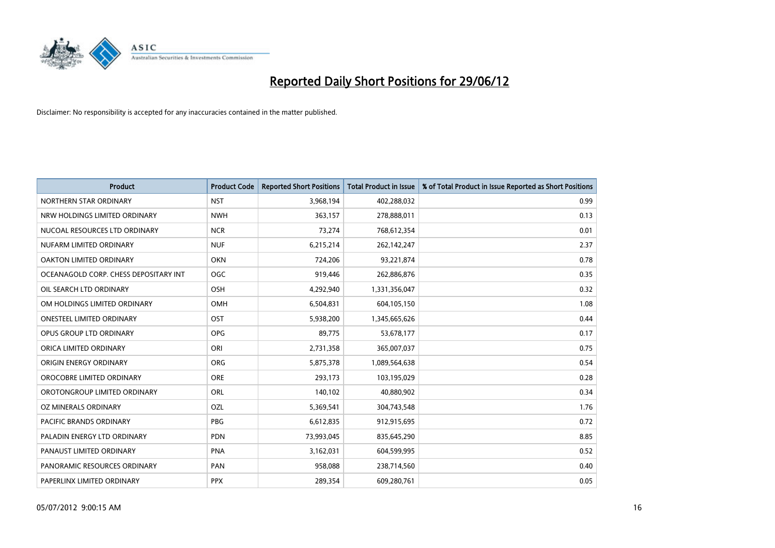

| <b>Product</b>                        | <b>Product Code</b> | <b>Reported Short Positions</b> | <b>Total Product in Issue</b> | % of Total Product in Issue Reported as Short Positions |
|---------------------------------------|---------------------|---------------------------------|-------------------------------|---------------------------------------------------------|
| NORTHERN STAR ORDINARY                | <b>NST</b>          | 3,968,194                       | 402,288,032                   | 0.99                                                    |
| NRW HOLDINGS LIMITED ORDINARY         | <b>NWH</b>          | 363,157                         | 278,888,011                   | 0.13                                                    |
| NUCOAL RESOURCES LTD ORDINARY         | <b>NCR</b>          | 73,274                          | 768,612,354                   | 0.01                                                    |
| NUFARM LIMITED ORDINARY               | <b>NUF</b>          | 6,215,214                       | 262,142,247                   | 2.37                                                    |
| <b>OAKTON LIMITED ORDINARY</b>        | <b>OKN</b>          | 724,206                         | 93,221,874                    | 0.78                                                    |
| OCEANAGOLD CORP. CHESS DEPOSITARY INT | <b>OGC</b>          | 919,446                         | 262,886,876                   | 0.35                                                    |
| OIL SEARCH LTD ORDINARY               | OSH                 | 4,292,940                       | 1,331,356,047                 | 0.32                                                    |
| OM HOLDINGS LIMITED ORDINARY          | OMH                 | 6,504,831                       | 604,105,150                   | 1.08                                                    |
| <b>ONESTEEL LIMITED ORDINARY</b>      | OST                 | 5,938,200                       | 1,345,665,626                 | 0.44                                                    |
| OPUS GROUP LTD ORDINARY               | <b>OPG</b>          | 89,775                          | 53,678,177                    | 0.17                                                    |
| ORICA LIMITED ORDINARY                | ORI                 | 2,731,358                       | 365,007,037                   | 0.75                                                    |
| ORIGIN ENERGY ORDINARY                | <b>ORG</b>          | 5,875,378                       | 1,089,564,638                 | 0.54                                                    |
| OROCOBRE LIMITED ORDINARY             | <b>ORE</b>          | 293,173                         | 103,195,029                   | 0.28                                                    |
| OROTONGROUP LIMITED ORDINARY          | ORL                 | 140,102                         | 40,880,902                    | 0.34                                                    |
| <b>OZ MINERALS ORDINARY</b>           | <b>OZL</b>          | 5,369,541                       | 304,743,548                   | 1.76                                                    |
| PACIFIC BRANDS ORDINARY               | <b>PBG</b>          | 6,612,835                       | 912,915,695                   | 0.72                                                    |
| PALADIN ENERGY LTD ORDINARY           | <b>PDN</b>          | 73,993,045                      | 835,645,290                   | 8.85                                                    |
| PANAUST LIMITED ORDINARY              | <b>PNA</b>          | 3,162,031                       | 604,599,995                   | 0.52                                                    |
| PANORAMIC RESOURCES ORDINARY          | PAN                 | 958,088                         | 238,714,560                   | 0.40                                                    |
| PAPERLINX LIMITED ORDINARY            | <b>PPX</b>          | 289,354                         | 609,280,761                   | 0.05                                                    |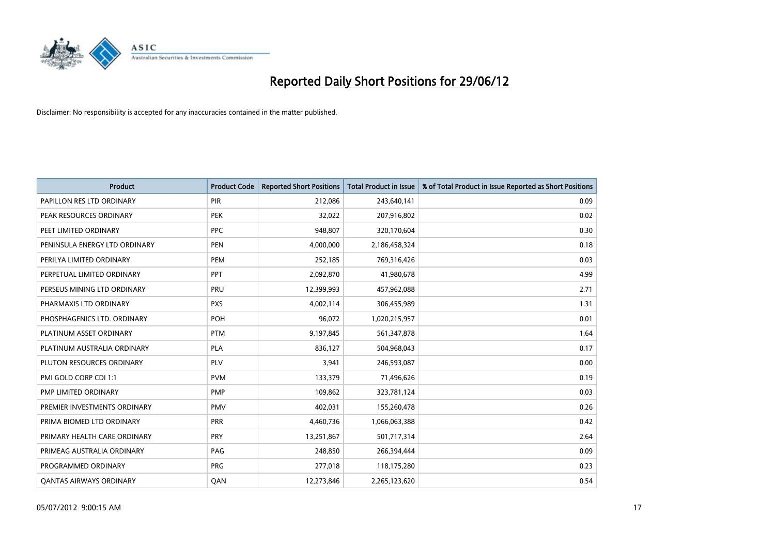

| <b>Product</b>                 | <b>Product Code</b> | <b>Reported Short Positions</b> | <b>Total Product in Issue</b> | % of Total Product in Issue Reported as Short Positions |
|--------------------------------|---------------------|---------------------------------|-------------------------------|---------------------------------------------------------|
| PAPILLON RES LTD ORDINARY      | PIR                 | 212,086                         | 243,640,141                   | 0.09                                                    |
| PEAK RESOURCES ORDINARY        | <b>PEK</b>          | 32,022                          | 207,916,802                   | 0.02                                                    |
| PEET LIMITED ORDINARY          | <b>PPC</b>          | 948,807                         | 320,170,604                   | 0.30                                                    |
| PENINSULA ENERGY LTD ORDINARY  | <b>PEN</b>          | 4,000,000                       | 2,186,458,324                 | 0.18                                                    |
| PERILYA LIMITED ORDINARY       | PEM                 | 252,185                         | 769,316,426                   | 0.03                                                    |
| PERPETUAL LIMITED ORDINARY     | PPT                 | 2,092,870                       | 41,980,678                    | 4.99                                                    |
| PERSEUS MINING LTD ORDINARY    | <b>PRU</b>          | 12,399,993                      | 457,962,088                   | 2.71                                                    |
| PHARMAXIS LTD ORDINARY         | <b>PXS</b>          | 4,002,114                       | 306,455,989                   | 1.31                                                    |
| PHOSPHAGENICS LTD. ORDINARY    | <b>POH</b>          | 96,072                          | 1,020,215,957                 | 0.01                                                    |
| PLATINUM ASSET ORDINARY        | <b>PTM</b>          | 9,197,845                       | 561,347,878                   | 1.64                                                    |
| PLATINUM AUSTRALIA ORDINARY    | <b>PLA</b>          | 836,127                         | 504,968,043                   | 0.17                                                    |
| PLUTON RESOURCES ORDINARY      | <b>PLV</b>          | 3,941                           | 246,593,087                   | 0.00                                                    |
| PMI GOLD CORP CDI 1:1          | <b>PVM</b>          | 133,379                         | 71,496,626                    | 0.19                                                    |
| PMP LIMITED ORDINARY           | <b>PMP</b>          | 109,862                         | 323,781,124                   | 0.03                                                    |
| PREMIER INVESTMENTS ORDINARY   | <b>PMV</b>          | 402,031                         | 155,260,478                   | 0.26                                                    |
| PRIMA BIOMED LTD ORDINARY      | <b>PRR</b>          | 4,460,736                       | 1,066,063,388                 | 0.42                                                    |
| PRIMARY HEALTH CARE ORDINARY   | <b>PRY</b>          | 13,251,867                      | 501,717,314                   | 2.64                                                    |
| PRIMEAG AUSTRALIA ORDINARY     | PAG                 | 248,850                         | 266,394,444                   | 0.09                                                    |
| PROGRAMMED ORDINARY            | <b>PRG</b>          | 277,018                         | 118,175,280                   | 0.23                                                    |
| <b>QANTAS AIRWAYS ORDINARY</b> | QAN                 | 12,273,846                      | 2,265,123,620                 | 0.54                                                    |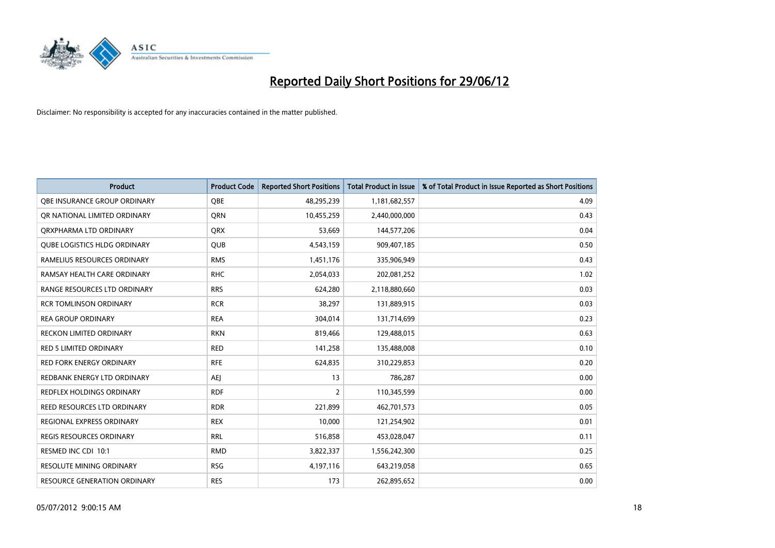

| <b>Product</b>                      | <b>Product Code</b> | <b>Reported Short Positions</b> | <b>Total Product in Issue</b> | % of Total Product in Issue Reported as Short Positions |
|-------------------------------------|---------------------|---------------------------------|-------------------------------|---------------------------------------------------------|
| OBE INSURANCE GROUP ORDINARY        | <b>OBE</b>          | 48,295,239                      | 1,181,682,557                 | 4.09                                                    |
| OR NATIONAL LIMITED ORDINARY        | QRN                 | 10,455,259                      | 2,440,000,000                 | 0.43                                                    |
| ORXPHARMA LTD ORDINARY              | <b>ORX</b>          | 53,669                          | 144,577,206                   | 0.04                                                    |
| <b>QUBE LOGISTICS HLDG ORDINARY</b> | QUB                 | 4,543,159                       | 909,407,185                   | 0.50                                                    |
| RAMELIUS RESOURCES ORDINARY         | <b>RMS</b>          | 1,451,176                       | 335,906,949                   | 0.43                                                    |
| RAMSAY HEALTH CARE ORDINARY         | <b>RHC</b>          | 2,054,033                       | 202,081,252                   | 1.02                                                    |
| RANGE RESOURCES LTD ORDINARY        | <b>RRS</b>          | 624,280                         | 2,118,880,660                 | 0.03                                                    |
| <b>RCR TOMLINSON ORDINARY</b>       | <b>RCR</b>          | 38,297                          | 131,889,915                   | 0.03                                                    |
| <b>REA GROUP ORDINARY</b>           | <b>REA</b>          | 304,014                         | 131,714,699                   | 0.23                                                    |
| <b>RECKON LIMITED ORDINARY</b>      | <b>RKN</b>          | 819,466                         | 129,488,015                   | 0.63                                                    |
| <b>RED 5 LIMITED ORDINARY</b>       | <b>RED</b>          | 141,258                         | 135,488,008                   | 0.10                                                    |
| <b>RED FORK ENERGY ORDINARY</b>     | <b>RFE</b>          | 624,835                         | 310,229,853                   | 0.20                                                    |
| REDBANK ENERGY LTD ORDINARY         | <b>AEJ</b>          | 13                              | 786,287                       | 0.00                                                    |
| <b>REDFLEX HOLDINGS ORDINARY</b>    | <b>RDF</b>          | $\overline{2}$                  | 110,345,599                   | 0.00                                                    |
| <b>REED RESOURCES LTD ORDINARY</b>  | <b>RDR</b>          | 221,899                         | 462,701,573                   | 0.05                                                    |
| REGIONAL EXPRESS ORDINARY           | <b>REX</b>          | 10,000                          | 121,254,902                   | 0.01                                                    |
| REGIS RESOURCES ORDINARY            | <b>RRL</b>          | 516,858                         | 453,028,047                   | 0.11                                                    |
| RESMED INC CDI 10:1                 | <b>RMD</b>          | 3,822,337                       | 1,556,242,300                 | 0.25                                                    |
| <b>RESOLUTE MINING ORDINARY</b>     | <b>RSG</b>          | 4,197,116                       | 643,219,058                   | 0.65                                                    |
| RESOURCE GENERATION ORDINARY        | <b>RES</b>          | 173                             | 262,895,652                   | 0.00                                                    |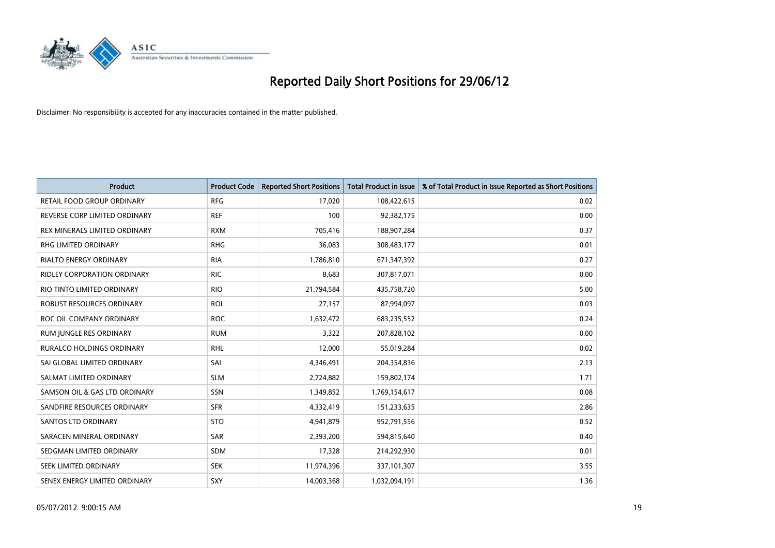

| <b>Product</b>                | <b>Product Code</b> | <b>Reported Short Positions</b> | <b>Total Product in Issue</b> | % of Total Product in Issue Reported as Short Positions |
|-------------------------------|---------------------|---------------------------------|-------------------------------|---------------------------------------------------------|
| RETAIL FOOD GROUP ORDINARY    | <b>RFG</b>          | 17,020                          | 108,422,615                   | 0.02                                                    |
| REVERSE CORP LIMITED ORDINARY | <b>REF</b>          | 100                             | 92,382,175                    | 0.00                                                    |
| REX MINERALS LIMITED ORDINARY | <b>RXM</b>          | 705,416                         | 188,907,284                   | 0.37                                                    |
| RHG LIMITED ORDINARY          | <b>RHG</b>          | 36,083                          | 308,483,177                   | 0.01                                                    |
| <b>RIALTO ENERGY ORDINARY</b> | <b>RIA</b>          | 1,786,810                       | 671,347,392                   | 0.27                                                    |
| RIDLEY CORPORATION ORDINARY   | <b>RIC</b>          | 8,683                           | 307,817,071                   | 0.00                                                    |
| RIO TINTO LIMITED ORDINARY    | <b>RIO</b>          | 21,794,584                      | 435,758,720                   | 5.00                                                    |
| ROBUST RESOURCES ORDINARY     | <b>ROL</b>          | 27,157                          | 87,994,097                    | 0.03                                                    |
| ROC OIL COMPANY ORDINARY      | <b>ROC</b>          | 1,632,472                       | 683,235,552                   | 0.24                                                    |
| RUM JUNGLE RES ORDINARY       | <b>RUM</b>          | 3,322                           | 207,828,102                   | 0.00                                                    |
| RURALCO HOLDINGS ORDINARY     | <b>RHL</b>          | 12,000                          | 55,019,284                    | 0.02                                                    |
| SAI GLOBAL LIMITED ORDINARY   | SAI                 | 4,346,491                       | 204,354,836                   | 2.13                                                    |
| SALMAT LIMITED ORDINARY       | <b>SLM</b>          | 2,724,882                       | 159,802,174                   | 1.71                                                    |
| SAMSON OIL & GAS LTD ORDINARY | <b>SSN</b>          | 1,349,852                       | 1,769,154,617                 | 0.08                                                    |
| SANDFIRE RESOURCES ORDINARY   | <b>SFR</b>          | 4,332,419                       | 151,233,635                   | 2.86                                                    |
| <b>SANTOS LTD ORDINARY</b>    | <b>STO</b>          | 4,941,879                       | 952,791,556                   | 0.52                                                    |
| SARACEN MINERAL ORDINARY      | <b>SAR</b>          | 2,393,200                       | 594,815,640                   | 0.40                                                    |
| SEDGMAN LIMITED ORDINARY      | SDM                 | 17,328                          | 214,292,930                   | 0.01                                                    |
| SEEK LIMITED ORDINARY         | <b>SEK</b>          | 11,974,396                      | 337,101,307                   | 3.55                                                    |
| SENEX ENERGY LIMITED ORDINARY | SXY                 | 14,003,368                      | 1,032,094,191                 | 1.36                                                    |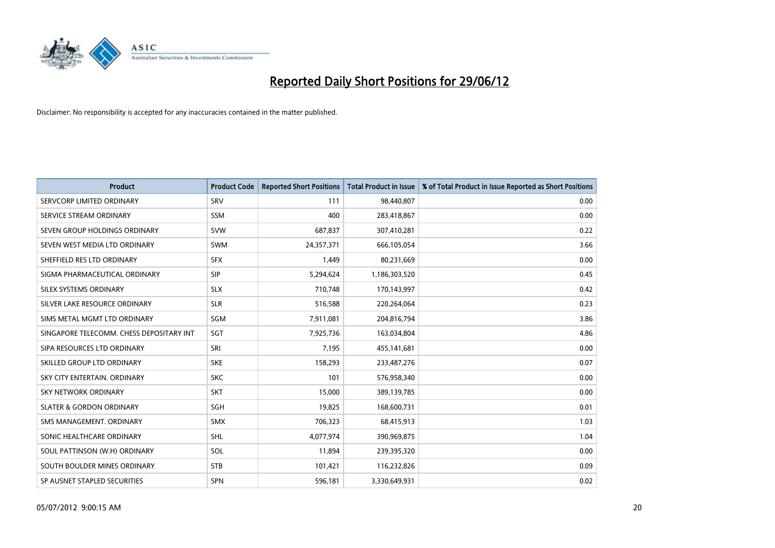

| <b>Product</b>                           | <b>Product Code</b> | <b>Reported Short Positions</b> | <b>Total Product in Issue</b> | % of Total Product in Issue Reported as Short Positions |
|------------------------------------------|---------------------|---------------------------------|-------------------------------|---------------------------------------------------------|
| SERVCORP LIMITED ORDINARY                | SRV                 | 111                             | 98,440,807                    | 0.00                                                    |
| SERVICE STREAM ORDINARY                  | <b>SSM</b>          | 400                             | 283,418,867                   | 0.00                                                    |
| SEVEN GROUP HOLDINGS ORDINARY            | <b>SVW</b>          | 687,837                         | 307,410,281                   | 0.22                                                    |
| SEVEN WEST MEDIA LTD ORDINARY            | <b>SWM</b>          | 24,357,371                      | 666,105,054                   | 3.66                                                    |
| SHEFFIELD RES LTD ORDINARY               | <b>SFX</b>          | 1,449                           | 80,231,669                    | 0.00                                                    |
| SIGMA PHARMACEUTICAL ORDINARY            | <b>SIP</b>          | 5,294,624                       | 1,186,303,520                 | 0.45                                                    |
| SILEX SYSTEMS ORDINARY                   | <b>SLX</b>          | 710,748                         | 170,143,997                   | 0.42                                                    |
| SILVER LAKE RESOURCE ORDINARY            | <b>SLR</b>          | 516,588                         | 220,264,064                   | 0.23                                                    |
| SIMS METAL MGMT LTD ORDINARY             | SGM                 | 7,911,081                       | 204,816,794                   | 3.86                                                    |
| SINGAPORE TELECOMM. CHESS DEPOSITARY INT | SGT                 | 7,925,736                       | 163,034,804                   | 4.86                                                    |
| SIPA RESOURCES LTD ORDINARY              | SRI                 | 7,195                           | 455,141,681                   | 0.00                                                    |
| SKILLED GROUP LTD ORDINARY               | <b>SKE</b>          | 158,293                         | 233,487,276                   | 0.07                                                    |
| SKY CITY ENTERTAIN. ORDINARY             | <b>SKC</b>          | 101                             | 576,958,340                   | 0.00                                                    |
| <b>SKY NETWORK ORDINARY</b>              | <b>SKT</b>          | 15,000                          | 389,139,785                   | 0.00                                                    |
| <b>SLATER &amp; GORDON ORDINARY</b>      | SGH                 | 19,825                          | 168,600,731                   | 0.01                                                    |
| SMS MANAGEMENT, ORDINARY                 | <b>SMX</b>          | 706,323                         | 68,415,913                    | 1.03                                                    |
| SONIC HEALTHCARE ORDINARY                | <b>SHL</b>          | 4,077,974                       | 390,969,875                   | 1.04                                                    |
| SOUL PATTINSON (W.H) ORDINARY            | SOL                 | 11,894                          | 239,395,320                   | 0.00                                                    |
| SOUTH BOULDER MINES ORDINARY             | <b>STB</b>          | 101,421                         | 116,232,826                   | 0.09                                                    |
| SP AUSNET STAPLED SECURITIES             | <b>SPN</b>          | 596,181                         | 3,330,649,931                 | 0.02                                                    |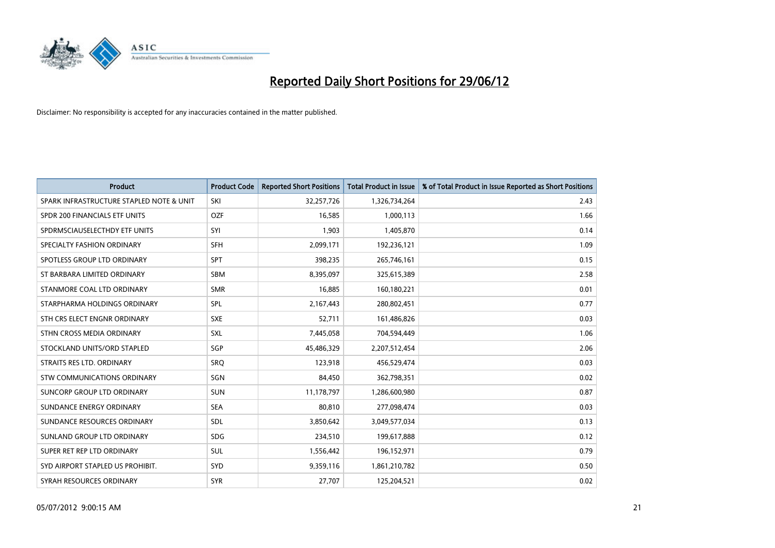

| <b>Product</b>                           | <b>Product Code</b> | <b>Reported Short Positions</b> | <b>Total Product in Issue</b> | % of Total Product in Issue Reported as Short Positions |
|------------------------------------------|---------------------|---------------------------------|-------------------------------|---------------------------------------------------------|
| SPARK INFRASTRUCTURE STAPLED NOTE & UNIT | SKI                 | 32,257,726                      | 1,326,734,264                 | 2.43                                                    |
| SPDR 200 FINANCIALS ETF UNITS            | <b>OZF</b>          | 16,585                          | 1,000,113                     | 1.66                                                    |
| SPDRMSCIAUSELECTHDY ETF UNITS            | SYI                 | 1,903                           | 1,405,870                     | 0.14                                                    |
| SPECIALTY FASHION ORDINARY               | SFH                 | 2,099,171                       | 192,236,121                   | 1.09                                                    |
| SPOTLESS GROUP LTD ORDINARY              | <b>SPT</b>          | 398,235                         | 265,746,161                   | 0.15                                                    |
| ST BARBARA LIMITED ORDINARY              | SBM                 | 8,395,097                       | 325,615,389                   | 2.58                                                    |
| STANMORE COAL LTD ORDINARY               | <b>SMR</b>          | 16,885                          | 160,180,221                   | 0.01                                                    |
| STARPHARMA HOLDINGS ORDINARY             | SPL                 | 2,167,443                       | 280,802,451                   | 0.77                                                    |
| STH CRS ELECT ENGNR ORDINARY             | <b>SXE</b>          | 52.711                          | 161,486,826                   | 0.03                                                    |
| STHN CROSS MEDIA ORDINARY                | <b>SXL</b>          | 7,445,058                       | 704,594,449                   | 1.06                                                    |
| STOCKLAND UNITS/ORD STAPLED              | SGP                 | 45,486,329                      | 2,207,512,454                 | 2.06                                                    |
| STRAITS RES LTD. ORDINARY                | SRQ                 | 123,918                         | 456,529,474                   | 0.03                                                    |
| STW COMMUNICATIONS ORDINARY              | SGN                 | 84,450                          | 362,798,351                   | 0.02                                                    |
| SUNCORP GROUP LTD ORDINARY               | <b>SUN</b>          | 11,178,797                      | 1,286,600,980                 | 0.87                                                    |
| SUNDANCE ENERGY ORDINARY                 | <b>SEA</b>          | 80,810                          | 277,098,474                   | 0.03                                                    |
| SUNDANCE RESOURCES ORDINARY              | SDL                 | 3,850,642                       | 3,049,577,034                 | 0.13                                                    |
| SUNLAND GROUP LTD ORDINARY               | <b>SDG</b>          | 234,510                         | 199,617,888                   | 0.12                                                    |
| SUPER RET REP LTD ORDINARY               | <b>SUL</b>          | 1,556,442                       | 196,152,971                   | 0.79                                                    |
| SYD AIRPORT STAPLED US PROHIBIT.         | SYD                 | 9,359,116                       | 1,861,210,782                 | 0.50                                                    |
| SYRAH RESOURCES ORDINARY                 | <b>SYR</b>          | 27,707                          | 125,204,521                   | 0.02                                                    |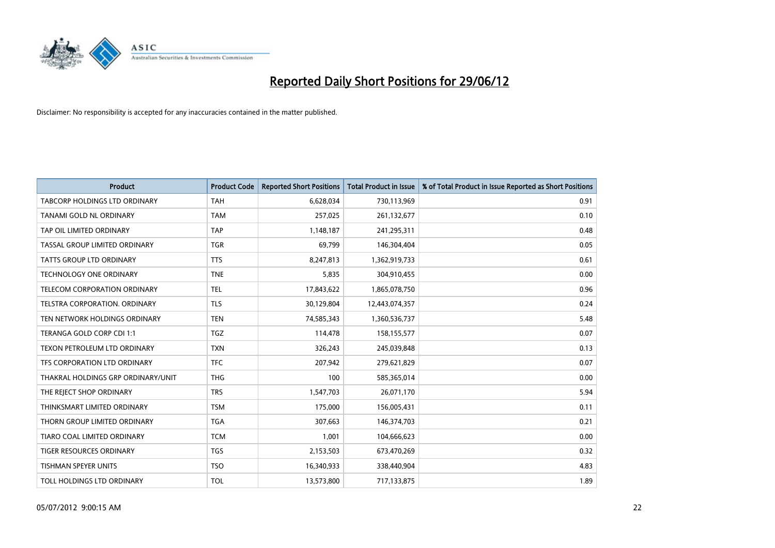

| <b>Product</b>                      | <b>Product Code</b> | <b>Reported Short Positions</b> | <b>Total Product in Issue</b> | % of Total Product in Issue Reported as Short Positions |
|-------------------------------------|---------------------|---------------------------------|-------------------------------|---------------------------------------------------------|
| TABCORP HOLDINGS LTD ORDINARY       | <b>TAH</b>          | 6,628,034                       | 730,113,969                   | 0.91                                                    |
| TANAMI GOLD NL ORDINARY             | <b>TAM</b>          | 257,025                         | 261,132,677                   | 0.10                                                    |
| TAP OIL LIMITED ORDINARY            | <b>TAP</b>          | 1,148,187                       | 241,295,311                   | 0.48                                                    |
| TASSAL GROUP LIMITED ORDINARY       | <b>TGR</b>          | 69,799                          | 146,304,404                   | 0.05                                                    |
| <b>TATTS GROUP LTD ORDINARY</b>     | <b>TTS</b>          | 8,247,813                       | 1,362,919,733                 | 0.61                                                    |
| <b>TECHNOLOGY ONE ORDINARY</b>      | <b>TNE</b>          | 5,835                           | 304,910,455                   | 0.00                                                    |
| <b>TELECOM CORPORATION ORDINARY</b> | <b>TEL</b>          | 17,843,622                      | 1,865,078,750                 | 0.96                                                    |
| TELSTRA CORPORATION. ORDINARY       | <b>TLS</b>          | 30,129,804                      | 12,443,074,357                | 0.24                                                    |
| TEN NETWORK HOLDINGS ORDINARY       | <b>TEN</b>          | 74,585,343                      | 1,360,536,737                 | 5.48                                                    |
| TERANGA GOLD CORP CDI 1:1           | <b>TGZ</b>          | 114,478                         | 158,155,577                   | 0.07                                                    |
| TEXON PETROLEUM LTD ORDINARY        | <b>TXN</b>          | 326,243                         | 245,039,848                   | 0.13                                                    |
| TFS CORPORATION LTD ORDINARY        | <b>TFC</b>          | 207,942                         | 279,621,829                   | 0.07                                                    |
| THAKRAL HOLDINGS GRP ORDINARY/UNIT  | <b>THG</b>          | 100                             | 585,365,014                   | 0.00                                                    |
| THE REJECT SHOP ORDINARY            | <b>TRS</b>          | 1,547,703                       | 26,071,170                    | 5.94                                                    |
| THINKSMART LIMITED ORDINARY         | <b>TSM</b>          | 175,000                         | 156,005,431                   | 0.11                                                    |
| THORN GROUP LIMITED ORDINARY        | <b>TGA</b>          | 307,663                         | 146,374,703                   | 0.21                                                    |
| TIARO COAL LIMITED ORDINARY         | <b>TCM</b>          | 1,001                           | 104,666,623                   | 0.00                                                    |
| TIGER RESOURCES ORDINARY            | <b>TGS</b>          | 2,153,503                       | 673,470,269                   | 0.32                                                    |
| <b>TISHMAN SPEYER UNITS</b>         | <b>TSO</b>          | 16,340,933                      | 338,440,904                   | 4.83                                                    |
| TOLL HOLDINGS LTD ORDINARY          | <b>TOL</b>          | 13,573,800                      | 717,133,875                   | 1.89                                                    |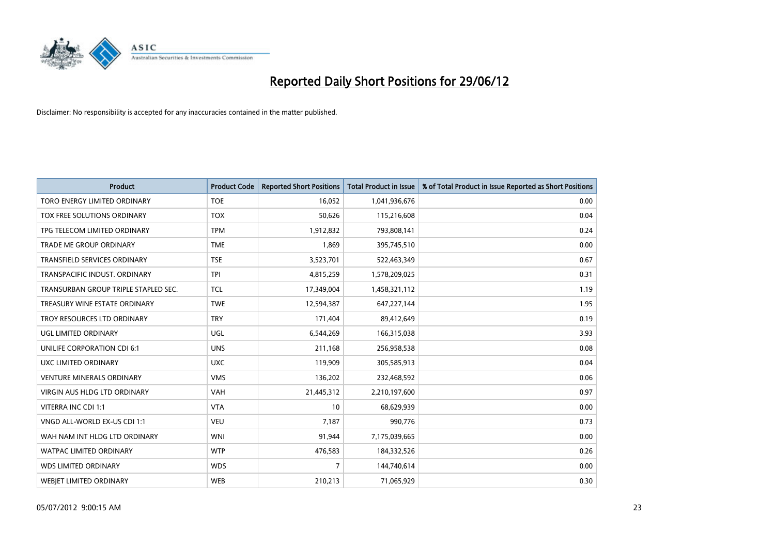

| <b>Product</b>                       | <b>Product Code</b> | <b>Reported Short Positions</b> | <b>Total Product in Issue</b> | % of Total Product in Issue Reported as Short Positions |
|--------------------------------------|---------------------|---------------------------------|-------------------------------|---------------------------------------------------------|
| TORO ENERGY LIMITED ORDINARY         | <b>TOE</b>          | 16,052                          | 1,041,936,676                 | 0.00                                                    |
| TOX FREE SOLUTIONS ORDINARY          | <b>TOX</b>          | 50,626                          | 115,216,608                   | 0.04                                                    |
| TPG TELECOM LIMITED ORDINARY         | <b>TPM</b>          | 1,912,832                       | 793,808,141                   | 0.24                                                    |
| TRADE ME GROUP ORDINARY              | <b>TME</b>          | 1,869                           | 395,745,510                   | 0.00                                                    |
| <b>TRANSFIELD SERVICES ORDINARY</b>  | <b>TSE</b>          | 3,523,701                       | 522,463,349                   | 0.67                                                    |
| TRANSPACIFIC INDUST, ORDINARY        | <b>TPI</b>          | 4,815,259                       | 1,578,209,025                 | 0.31                                                    |
| TRANSURBAN GROUP TRIPLE STAPLED SEC. | <b>TCL</b>          | 17,349,004                      | 1,458,321,112                 | 1.19                                                    |
| TREASURY WINE ESTATE ORDINARY        | <b>TWE</b>          | 12,594,387                      | 647,227,144                   | 1.95                                                    |
| TROY RESOURCES LTD ORDINARY          | <b>TRY</b>          | 171,404                         | 89,412,649                    | 0.19                                                    |
| <b>UGL LIMITED ORDINARY</b>          | UGL                 | 6,544,269                       | 166,315,038                   | 3.93                                                    |
| UNILIFE CORPORATION CDI 6:1          | <b>UNS</b>          | 211,168                         | 256,958,538                   | 0.08                                                    |
| UXC LIMITED ORDINARY                 | <b>UXC</b>          | 119,909                         | 305,585,913                   | 0.04                                                    |
| <b>VENTURE MINERALS ORDINARY</b>     | <b>VMS</b>          | 136,202                         | 232,468,592                   | 0.06                                                    |
| <b>VIRGIN AUS HLDG LTD ORDINARY</b>  | <b>VAH</b>          | 21,445,312                      | 2,210,197,600                 | 0.97                                                    |
| VITERRA INC CDI 1:1                  | <b>VTA</b>          | 10                              | 68,629,939                    | 0.00                                                    |
| VNGD ALL-WORLD EX-US CDI 1:1         | <b>VEU</b>          | 7,187                           | 990,776                       | 0.73                                                    |
| WAH NAM INT HLDG LTD ORDINARY        | <b>WNI</b>          | 91,944                          | 7,175,039,665                 | 0.00                                                    |
| WATPAC LIMITED ORDINARY              | <b>WTP</b>          | 476,583                         | 184,332,526                   | 0.26                                                    |
| <b>WDS LIMITED ORDINARY</b>          | <b>WDS</b>          | $\overline{7}$                  | 144,740,614                   | 0.00                                                    |
| <b>WEBJET LIMITED ORDINARY</b>       | <b>WEB</b>          | 210,213                         | 71,065,929                    | 0.30                                                    |